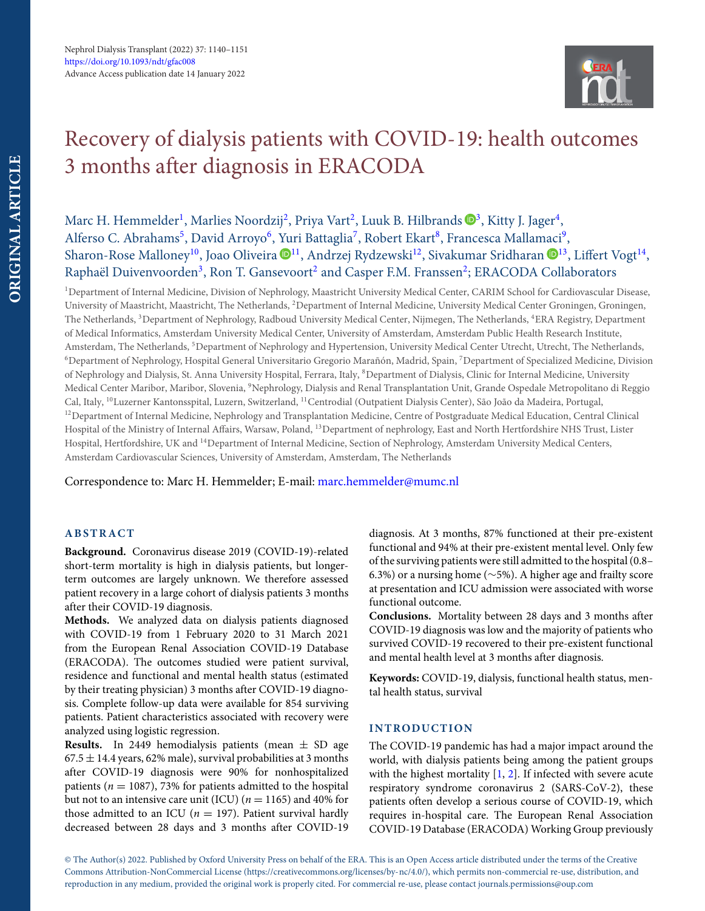

# Recovery of dialysis patients with COVID-19: health outcomes 3 months after diagnosis in ERACODA

## Marc H. Hemmelder<sup>1</sup>, Marlies Noordzij<sup>[2](#page-0-1)</sup>, Priya Vart<sup>2</sup>, Luuk B. Hilbrands ®<sup>[3](#page-0-2)</sup>, Kitty J. Jager<sup>[4](#page-0-3)</sup>, Alferso C. Abrahams<sup>[5](#page-0-4)</sup>, David Arroyo<sup>6</sup>, Yuri Battaglia<sup>7</sup>, Robert Ekart<sup>8</sup>, Francesca Mallamaci<sup>[9](#page-0-8)</sup>, Sharon-Rose Malloney<sup>10</sup>, Joao Oliveira <sup>11</sup>, Andrzej Rydzewski<sup>12</sup>, Sivakumar Sridharan <sup>13</sup>, Liffert Vogt<sup>14</sup>, Raphaël Duivenvoorden<sup>[3](#page-0-2)</sup>, Ron T. Gansevoort<sup>2</sup> and Casper F.M. Franssen<sup>2</sup>; ERACODA Collaborators

<span id="page-0-5"></span><span id="page-0-4"></span><span id="page-0-2"></span><span id="page-0-1"></span><span id="page-0-0"></span><sup>1</sup>Department of Internal Medicine, Division of Nephrology, Maastricht University Medical Center, CARIM School for Cardiovascular Disease, University of Maastricht, Maastricht, The Netherlands, 2Department of Internal Medicine, University Medical Center Groningen, Groningen, The Netherlands, <sup>3</sup>Department of Nephrology, Radboud University Medical Center, Nijmegen, The Netherlands, <sup>4</sup>ERA Registry, Department of Medical Informatics, Amsterdam University Medical Center, University of Amsterdam, Amsterdam Public Health Research Institute, Amsterdam, The Netherlands, 5Department of Nephrology and Hypertension, University Medical Center Utrecht, Utrecht, The Netherlands, 6Department of Nephrology, Hospital General Universitario Gregorio Marañón, Madrid, Spain, 7Department of Specialized Medicine, Division of Nephrology and Dialysis, St. Anna University Hospital, Ferrara, Italy, 8Department of Dialysis, Clinic for Internal Medicine, University Medical Center Maribor, Maribor, Slovenia, 9Nephrology, Dialysis and Renal Transplantation Unit, Grande Ospedale Metropolitano di Reggio Cal, Italy, 10Luzerner Kantonsspital, Luzern, Switzerland, 11Centrodial (Outpatient Dialysis Center), São João da Madeira, Portugal, <sup>12</sup>Department of Internal Medicine, Nephrology and Transplantation Medicine, Centre of Postgraduate Medical Education, Central Clinical Hospital of the Ministry of Internal Affairs, Warsaw, Poland, 13Department of nephrology, East and North Hertfordshire NHS Trust, Lister Hospital, Hertfordshire, UK and 14Department of Internal Medicine, Section of Nephrology, Amsterdam University Medical Centers, Amsterdam Cardiovascular Sciences, University of Amsterdam, Amsterdam, The Netherlands

<span id="page-0-13"></span><span id="page-0-11"></span><span id="page-0-9"></span>Correspondence to: Marc H. Hemmelder; E-mail: [marc.hemmelder@mumc.nl](mailto:marc.hemmelder@mumc.nl)

## **ABSTRACT**

**Background.** Coronavirus disease 2019 (COVID-19)-related short-term mortality is high in dialysis patients, but longerterm outcomes are largely unknown. We therefore assessed patient recovery in a large cohort of dialysis patients 3 months after their COVID-19 diagnosis.

**Methods.** We analyzed data on dialysis patients diagnosed with COVID-19 from 1 February 2020 to 31 March 2021 from the European Renal Association COVID-19 Database (ERACODA). The outcomes studied were patient survival, residence and functional and mental health status (estimated by their treating physician) 3 months after COVID-19 diagnosis. Complete follow-up data were available for 854 surviving patients. Patient characteristics associated with recovery were analyzed using logistic regression.

**Results.** In 2449 hemodialysis patients (mean  $\pm$  SD age  $67.5 \pm 14.4$  years, 62% male), survival probabilities at 3 months after COVID-19 diagnosis were 90% for nonhospitalized patients ( $n = 1087$ ), 73% for patients admitted to the hospital but not to an intensive care unit (ICU) ( $n = 1165$ ) and 40% for those admitted to an ICU ( $n = 197$ ). Patient survival hardly decreased between 28 days and 3 months after COVID-19 <span id="page-0-12"></span><span id="page-0-10"></span><span id="page-0-8"></span><span id="page-0-7"></span><span id="page-0-6"></span><span id="page-0-3"></span>diagnosis. At 3 months, 87% functioned at their pre-existent functional and 94% at their pre-existent mental level. Only few of the surviving patients were still admitted to the hospital (0.8– 6.3%) or a nursing home (∼5%). A higher age and frailty score at presentation and ICU admission were associated with worse functional outcome.

**Conclusions.** Mortality between 28 days and 3 months after COVID-19 diagnosis was low and the majority of patients who survived COVID-19 recovered to their pre-existent functional and mental health level at 3 months after diagnosis.

**Keywords:** COVID-19, dialysis, functional health status, mental health status, survival

## **INTRODUCTION**

The COVID-19 pandemic has had a major impact around the world, with dialysis patients being among the patient groups with the highest mortality [\[1,](#page-11-0) [2\]](#page-11-1). If infected with severe acute respiratory syndrome coronavirus 2 (SARS-CoV-2), these patients often develop a serious course of COVID-19, which requires in-hospital care. The European Renal Association COVID-19 Database (ERACODA) Working Group previously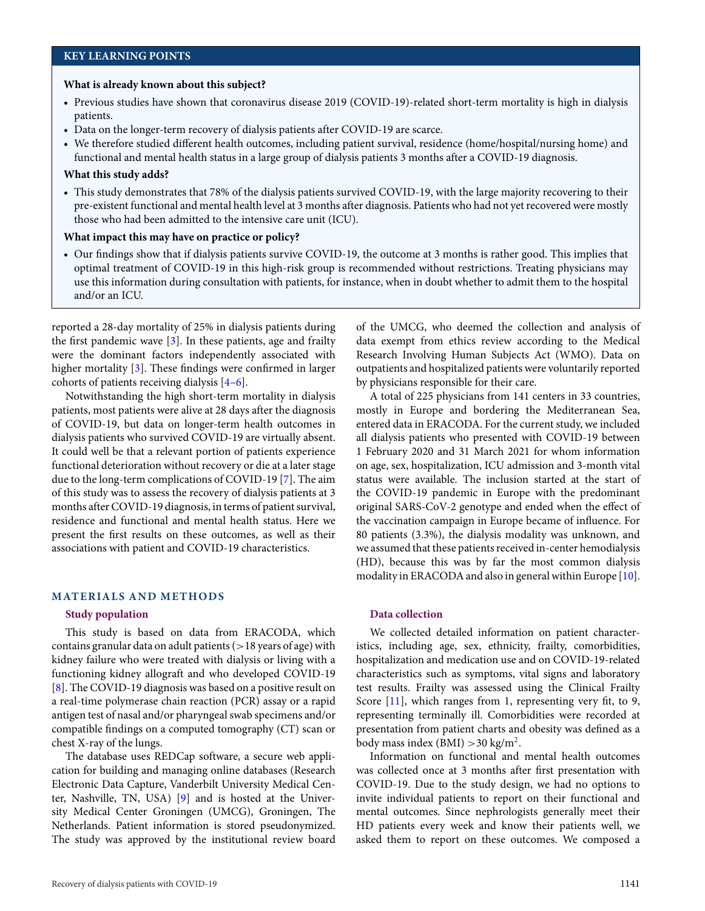#### **What is already known about this subject?**

- Previous studies have shown that coronavirus disease 2019 (COVID-19)-related short-term mortality is high in dialysis patients.
- Data on the longer-term recovery of dialysis patients after COVID-19 are scarce.
- We therefore studied different health outcomes, including patient survival, residence (home/hospital/nursing home) and functional and mental health status in a large group of dialysis patients 3 months after a COVID-19 diagnosis.

#### **What this study adds?**

• This study demonstrates that 78% of the dialysis patients survived COVID-19, with the large majority recovering to their pre-existent functional and mental health level at 3 months after diagnosis. Patients who had not yet recovered were mostly those who had been admitted to the intensive care unit (ICU).

#### **What impact this may have on practice or policy?**

• Our findings show that if dialysis patients survive COVID-19, the outcome at 3 months is rather good. This implies that optimal treatment of COVID-19 in this high-risk group is recommended without restrictions. Treating physicians may use this information during consultation with patients, for instance, when in doubt whether to admit them to the hospital and/or an ICU.

reported a 28-day mortality of 25% in dialysis patients during the first pandemic wave [\[3\]](#page-11-2). In these patients, age and frailty were the dominant factors independently associated with higher mortality [\[3\]](#page-11-2). These findings were confirmed in larger cohorts of patients receiving dialysis [\[4–](#page-11-3)[6\]](#page-11-4).

Notwithstanding the high short-term mortality in dialysis patients, most patients were alive at 28 days after the diagnosis of COVID-19, but data on longer-term health outcomes in dialysis patients who survived COVID-19 are virtually absent. It could well be that a relevant portion of patients experience functional deterioration without recovery or die at a later stage due to the long-term complications of COVID-19 [\[7\]](#page-11-5). The aim of this study was to assess the recovery of dialysis patients at 3 months after COVID-19 diagnosis, in terms of patient survival, residence and functional and mental health status. Here we present the first results on these outcomes, as well as their associations with patient and COVID-19 characteristics.

## **MATERIALS AND METHODS**

#### **Study population**

This study is based on data from ERACODA, which contains granular data on adult patients  $(>18$  years of age) with kidney failure who were treated with dialysis or living with a functioning kidney allograft and who developed COVID-19 [\[8\]](#page-11-6). The COVID-19 diagnosis was based on a positive result on a real-time polymerase chain reaction (PCR) assay or a rapid antigen test of nasal and/or pharyngeal swab specimens and/or compatible findings on a computed tomography (CT) scan or chest X-ray of the lungs.

The database uses REDCap software, a secure web application for building and managing online databases (Research Electronic Data Capture, Vanderbilt University Medical Center, Nashville, TN, USA) [\[9\]](#page-11-7) and is hosted at the University Medical Center Groningen (UMCG), Groningen, The Netherlands. Patient information is stored pseudonymized. The study was approved by the institutional review board

of the UMCG, who deemed the collection and analysis of data exempt from ethics review according to the Medical Research Involving Human Subjects Act (WMO). Data on outpatients and hospitalized patients were voluntarily reported by physicians responsible for their care.

A total of 225 physicians from 141 centers in 33 countries, mostly in Europe and bordering the Mediterranean Sea, entered data in ERACODA. For the current study, we included all dialysis patients who presented with COVID-19 between 1 February 2020 and 31 March 2021 for whom information on age, sex, hospitalization, ICU admission and 3-month vital status were available. The inclusion started at the start of the COVID-19 pandemic in Europe with the predominant original SARS-CoV-2 genotype and ended when the effect of the vaccination campaign in Europe became of influence. For 80 patients (3.3%), the dialysis modality was unknown, and we assumed that these patients received in-center hemodialysis (HD), because this was by far the most common dialysis modality in ERACODA and also in general within Europe [\[10\]](#page-11-8).

## **Data collection**

We collected detailed information on patient characteristics, including age, sex, ethnicity, frailty, comorbidities, hospitalization and medication use and on COVID-19-related characteristics such as symptoms, vital signs and laboratory test results. Frailty was assessed using the Clinical Frailty Score [\[11\]](#page-11-9), which ranges from 1, representing very fit, to 9, representing terminally ill. Comorbidities were recorded at presentation from patient charts and obesity was defined as a body mass index (BMI)  $>$  30 kg/m<sup>2</sup>.

Information on functional and mental health outcomes was collected once at 3 months after first presentation with COVID-19. Due to the study design, we had no options to invite individual patients to report on their functional and mental outcomes. Since nephrologists generally meet their HD patients every week and know their patients well, we asked them to report on these outcomes. We composed a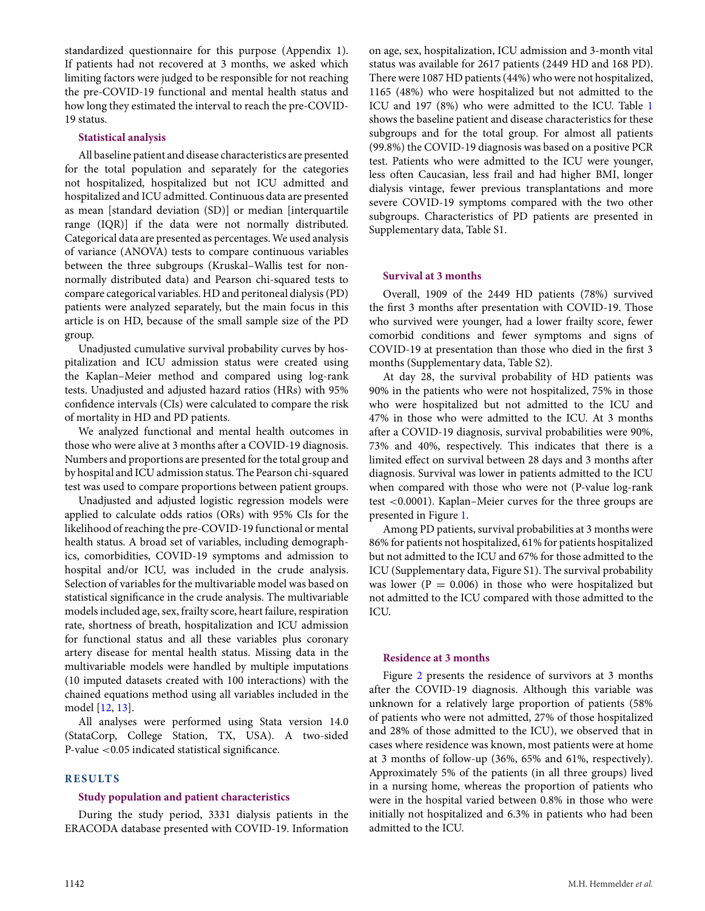standardized questionnaire for this purpose (Appendix 1). If patients had not recovered at 3 months, we asked which limiting factors were judged to be responsible for not reaching the pre-COVID-19 functional and mental health status and how long they estimated the interval to reach the pre-COVID-19 status.

## **Statistical analysis**

All baseline patient and disease characteristics are presented for the total population and separately for the categories not hospitalized, hospitalized but not ICU admitted and hospitalized and ICU admitted. Continuous data are presented as mean [standard deviation (SD)] or median [interquartile range (IQR)] if the data were not normally distributed. Categorical data are presented as percentages. We used analysis of variance (ANOVA) tests to compare continuous variables between the three subgroups (Kruskal–Wallis test for nonnormally distributed data) and Pearson chi-squared tests to compare categorical variables. HD and peritoneal dialysis (PD) patients were analyzed separately, but the main focus in this article is on HD, because of the small sample size of the PD group.

Unadjusted cumulative survival probability curves by hospitalization and ICU admission status were created using the Kaplan–Meier method and compared using log-rank tests. Unadjusted and adjusted hazard ratios (HRs) with 95% confidence intervals (CIs) were calculated to compare the risk of mortality in HD and PD patients.

We analyzed functional and mental health outcomes in those who were alive at 3 months after a COVID-19 diagnosis. Numbers and proportions are presented for the total group and by hospital and ICU admission status. The Pearson chi-squared test was used to compare proportions between patient groups.

Unadjusted and adjusted logistic regression models were applied to calculate odds ratios (ORs) with 95% CIs for the likelihood of reaching the pre-COVID-19 functional or mental health status. A broad set of variables, including demographics, comorbidities, COVID-19 symptoms and admission to hospital and/or ICU, was included in the crude analysis. Selection of variables for the multivariable model was based on statistical significance in the crude analysis. The multivariable models included age, sex, frailty score, heart failure, respiration rate, shortness of breath, hospitalization and ICU admission for functional status and all these variables plus coronary artery disease for mental health status. Missing data in the multivariable models were handled by multiple imputations (10 imputed datasets created with 100 interactions) with the chained equations method using all variables included in the model [\[12,](#page-11-10) [13\]](#page-11-11).

All analyses were performed using Stata version 14.0 (StataCorp, College Station, TX, USA). A two-sided P-value <0.05 indicated statistical significance.

## **RESULTS**

## **Study population and patient characteristics**

During the study period, 3331 dialysis patients in the ERACODA database presented with COVID-19. Information

on age, sex, hospitalization, ICU admission and 3-month vital status was available for 2617 patients (2449 HD and 168 PD). There were 1087 HD patients (44%) who were not hospitalized, 1165 (48%) who were hospitalized but not admitted to the ICU and 197 (8%) who were admitted to the ICU. Table [1](#page-3-0) shows the baseline patient and disease characteristics for these subgroups and for the total group. For almost all patients (99.8%) the COVID-19 diagnosis was based on a positive PCR test. Patients who were admitted to the ICU were younger, less often Caucasian, less frail and had higher BMI, longer dialysis vintage, fewer previous transplantations and more severe COVID-19 symptoms compared with the two other subgroups. Characteristics of PD patients are presented in Supplementary data, Table S1.

## **Survival at 3 months**

Overall, 1909 of the 2449 HD patients (78%) survived the first 3 months after presentation with COVID-19. Those who survived were younger, had a lower frailty score, fewer comorbid conditions and fewer symptoms and signs of COVID-19 at presentation than those who died in the first 3 months (Supplementary data, Table S2).

At day 28, the survival probability of HD patients was 90% in the patients who were not hospitalized, 75% in those who were hospitalized but not admitted to the ICU and 47% in those who were admitted to the ICU. At 3 months after a COVID-19 diagnosis, survival probabilities were 90%, 73% and 40%, respectively. This indicates that there is a limited effect on survival between 28 days and 3 months after diagnosis. Survival was lower in patients admitted to the ICU when compared with those who were not (P-value log-rank test <0.0001). Kaplan–Meier curves for the three groups are presented in Figure [1.](#page-4-0)

Among PD patients, survival probabilities at 3 months were 86% for patients not hospitalized, 61% for patients hospitalized but not admitted to the ICU and 67% for those admitted to the ICU (Supplementary data, Figure S1). The survival probability was lower ( $P = 0.006$ ) in those who were hospitalized but not admitted to the ICU compared with those admitted to the ICU.

## **Residence at 3 months**

Figure [2](#page-5-0) presents the residence of survivors at 3 months after the COVID-19 diagnosis. Although this variable was unknown for a relatively large proportion of patients (58% of patients who were not admitted, 27% of those hospitalized and 28% of those admitted to the ICU), we observed that in cases where residence was known, most patients were at home at 3 months of follow-up (36%, 65% and 61%, respectively). Approximately 5% of the patients (in all three groups) lived in a nursing home, whereas the proportion of patients who were in the hospital varied between 0.8% in those who were initially not hospitalized and 6.3% in patients who had been admitted to the ICU.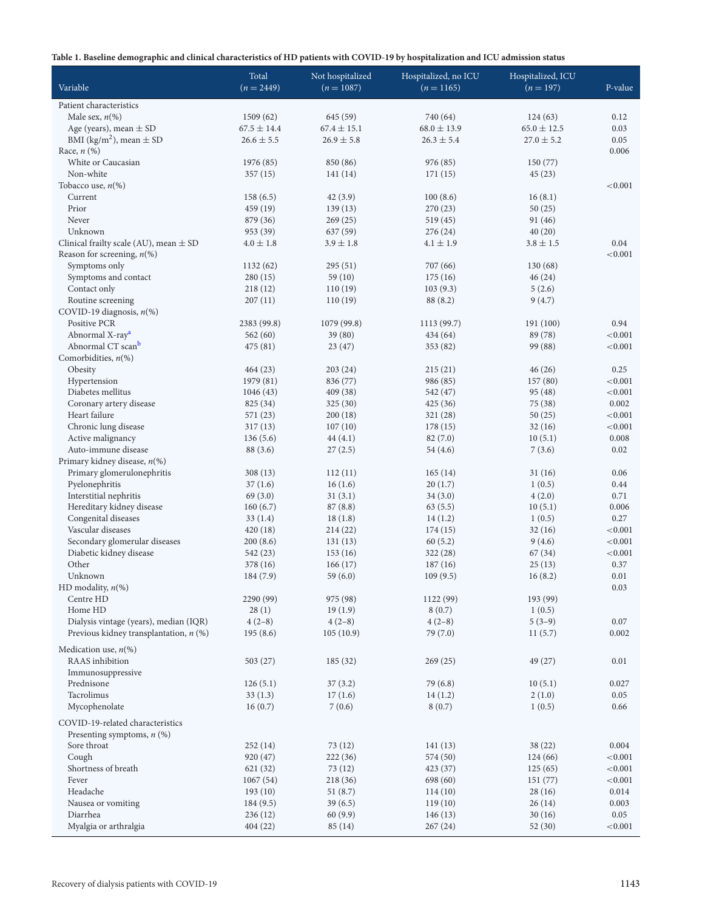<span id="page-3-0"></span>

|  | Table 1. Baseline demographic and clinical characteristics of HD patients with COVID-19 by hospitalization and ICU admission status |  |  |
|--|-------------------------------------------------------------------------------------------------------------------------------------|--|--|
|--|-------------------------------------------------------------------------------------------------------------------------------------|--|--|

| $\sigma$<br>- 1                             |                 | л.               |                      |                   |         |
|---------------------------------------------|-----------------|------------------|----------------------|-------------------|---------|
|                                             | Total           | Not hospitalized | Hospitalized, no ICU | Hospitalized, ICU |         |
| Variable                                    | $(n = 2449)$    | $(n = 1087)$     | $(n = 1165)$         | $(n = 197)$       | P-value |
| Patient characteristics                     |                 |                  |                      |                   |         |
| Male sex, $n$ (%)                           | 1509(62)        | 645 (59)         | 740 (64)             | 124(63)           | 0.12    |
| Age (years), mean $\pm$ SD                  | $67.5 \pm 14.4$ | $67.4 \pm 15.1$  | $68.0 \pm 13.9$      | $65.0 \pm 12.5$   | 0.03    |
| BMI (kg/m <sup>2</sup> ), mean $\pm$ SD     | $26.6 \pm 5.5$  | $26.9 \pm 5.8$   | $26.3 \pm 5.4$       | $27.0 \pm 5.2$    | 0.05    |
| Race, $n$ $(\%)$                            |                 |                  |                      |                   | 0.006   |
| White or Caucasian                          | 1976 (85)       | 850 (86)         | 976 (85)             | 150 (77)          |         |
| Non-white                                   | 357(15)         | 141(14)          | 171(15)              | 45(23)            |         |
| Tobacco use, $n$ (%)                        |                 |                  |                      |                   | < 0.001 |
| Current                                     | 158(6.5)        | 42 (3.9)         | 100(8.6)             | 16(8.1)           |         |
| Prior                                       | 459 (19)        | 139(13)          | 270 (23)             | 50(25)            |         |
| Never                                       | 879 (36)        | 269(25)          | 519 (45)             | 91 (46)           |         |
| Unknown                                     | 953 (39)        | 637 (59)         | 276 (24)             | 40(20)            |         |
| Clinical frailty scale (AU), mean $\pm$ SD  | $4.0 \pm 1.8$   | $3.9 \pm 1.8$    | $4.1 \pm 1.9$        | $3.8 \pm 1.5$     | 0.04    |
| Reason for screening, $n$ (%)               |                 |                  |                      |                   | < 0.001 |
| Symptoms only                               | 1132(62)        | 295 (51)         | 707 (66)             | 130 (68)          |         |
| Symptoms and contact                        | 280(15)         | 59 (10)          | 175(16)              | 46(24)            |         |
| Contact only                                | 218(12)         | 110(19)          | 103(9.3)             | 5(2.6)            |         |
| Routine screening                           | 207(11)         | 110(19)          | 88 (8.2)             | 9(4.7)            |         |
| COVID-19 diagnosis, $n$ (%)                 |                 |                  |                      |                   |         |
| Positive PCR                                | 2383 (99.8)     | 1079 (99.8)      | 1113 (99.7)          | 191 (100)         | 0.94    |
| Abnormal X-ray <sup>a</sup>                 | 562(60)         | 39 (80)          | 434 (64)             | 89 (78)           | < 0.001 |
| Abnormal CT scan <sup>b</sup>               | 475 (81)        | 23(47)           | 353 (82)             | 99 (88)           | < 0.001 |
| Comorbidities, $n$ (%)                      |                 |                  |                      |                   |         |
| Obesity                                     | 464(23)         | 203 (24)         | 215(21)              | 46(26)            | 0.25    |
| Hypertension                                | 1979 (81)       | 836 (77)         | 986 (85)             | 157(80)           | < 0.001 |
| Diabetes mellitus                           | 1046(43)        | 409 (38)         | 542 (47)             | 95 (48)           | < 0.001 |
| Coronary artery disease                     | 825 (34)        | 325(30)          | 425 (36)             | 75 (38)           | 0.002   |
| Heart failure                               | 571 (23)        | 200(18)          | 321 (28)             | 50(25)            | < 0.001 |
| Chronic lung disease                        | 317(13)         | 107(10)          | 178 (15)             | 32(16)            | < 0.001 |
| Active malignancy                           | 136(5.6)        | 44(4.1)          | 82(7.0)              | 10(5.1)           | 0.008   |
| Auto-immune disease                         | 88 (3.6)        | 27(2.5)          | 54 (4.6)             | 7(3.6)            | 0.02    |
| Primary kidney disease, $n$ (%)             |                 |                  |                      |                   |         |
| Primary glomerulonephritis                  | 308 (13)        | 112(11)          | 165(14)              | 31(16)            | 0.06    |
| Pyelonephritis                              | 37(1.6)         | 16(1.6)          | 20(1.7)              | 1(0.5)            | 0.44    |
| Interstitial nephritis                      | 69(3.0)         | 31(3.1)          | 34(3.0)              | 4(2.0)            | 0.71    |
| Hereditary kidney disease                   | 160(6.7)        | 87(8.8)          | 63(5.5)              | 10(5.1)           | 0.006   |
| Congenital diseases                         | 33(1.4)         | 18(1.8)          | 14(1.2)              | 1(0.5)            | 0.27    |
| Vascular diseases                           | 420(18)         | 214 (22)         | 174 (15)             | 32(16)            | < 0.001 |
| Secondary glomerular diseases               | 200(8.6)        | 131(13)          | 60(5.2)              | 9(4.6)            | < 0.001 |
| Diabetic kidney disease                     | 542 (23)        | 153 (16)         | 322 (28)             | 67 (34)           | < 0.001 |
| Other                                       | 378 (16)        | 166(17)          | 187(16)              | 25(13)            | 0.37    |
| Unknown                                     | 184 (7.9)       | 59 (6.0)         | 109(9.5)             | 16(8.2)           | 0.01    |
| HD modality, $n$ <sup>(%)</sup>             |                 |                  |                      |                   | 0.03    |
| Centre HD                                   | 2290 (99)       | 975 (98)         | 1122 (99)            | 193 (99)          |         |
| Home HD                                     | 28(1)           | 19(1.9)          | 8(0.7)               | 1(0.5)            |         |
| Dialysis vintage (years), median (IQR)      | $4(2-8)$        | $4(2-8)$         | $4(2-8)$             | $5(3-9)$          | 0.07    |
| Previous kidney transplantation, $n$ (%)    | 195(8.6)        | 105(10.9)        | 79 (7.0)             | 11(5.7)           | 0.002   |
| Medication use, $n\llap/$                   |                 |                  |                      |                   |         |
| RAAS inhibition                             | 503(27)         | 185(32)          | 269 (25)             | 49 (27)           | 0.01    |
| Immunosuppressive                           |                 |                  |                      |                   |         |
| Prednisone                                  | 126(5.1)        | 37(3.2)          | 79 (6.8)             | 10(5.1)           | 0.027   |
| Tacrolimus                                  | 33(1.3)         | 17(1.6)          | 14(1.2)              | 2(1.0)            | 0.05    |
| Mycophenolate                               | 16(0.7)         | 7(0.6)           | 8(0.7)               | 1(0.5)            | 0.66    |
| COVID-19-related characteristics            |                 |                  |                      |                   |         |
|                                             |                 |                  |                      |                   |         |
| Presenting symptoms, $n$ (%)<br>Sore throat | 252(14)         | 73(12)           | 141 (13)             | 38(22)            | 0.004   |
| Cough                                       | 920 (47)        | 222 (36)         | 574 (50)             | 124 (66)          | < 0.001 |
| Shortness of breath                         | 621 (32)        | 73 (12)          |                      | 125(65)           | < 0.001 |
| Fever                                       | 1067(54)        | 218 (36)         | 423 (37)<br>698 (60) | 151 (77)          | < 0.001 |
| Headache                                    | 193(10)         | 51 (8.7)         | 114(10)              | 28(16)            | 0.014   |
| Nausea or vomiting                          | 184(9.5)        | 39(6.5)          | 119(10)              | 26(14)            | 0.003   |
| Diarrhea                                    | 236(12)         | 60(9.9)          | 146 (13)             | 30(16)            | 0.05    |
| Myalgia or arthralgia                       | 404(22)         | 85 (14)          | 267(24)              | 52(30)            | < 0.001 |
|                                             |                 |                  |                      |                   |         |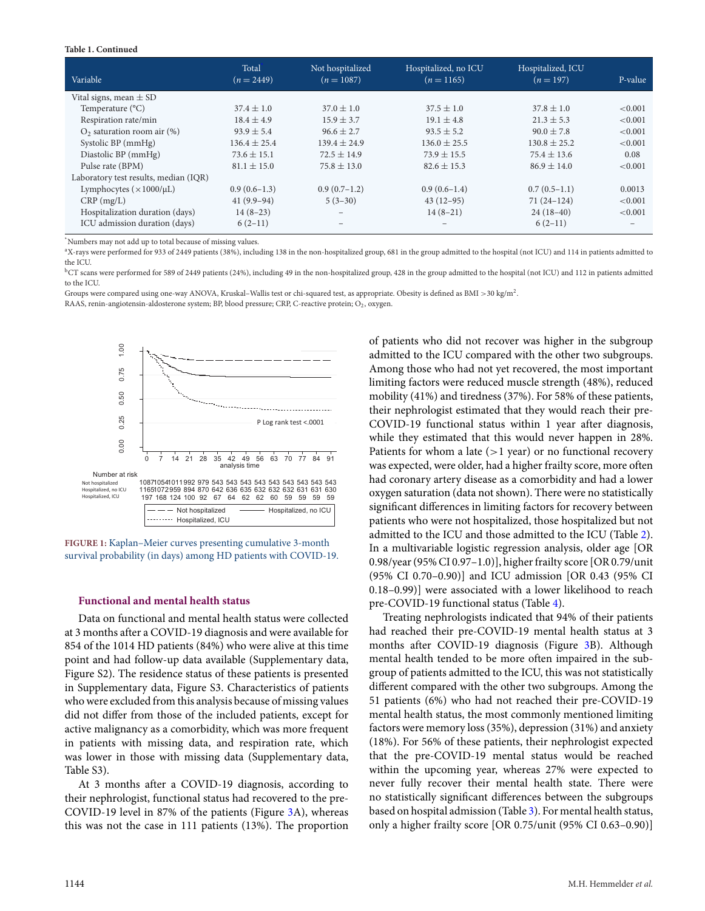#### **Table 1. Continued**

| Variable                              | Total<br>$(n = 2449)$ | Not hospitalized<br>$(n = 1087)$ | Hospitalized, no ICU<br>$(n = 1165)$ | Hospitalized, ICU<br>$(n = 197)$ | P-value           |
|---------------------------------------|-----------------------|----------------------------------|--------------------------------------|----------------------------------|-------------------|
| Vital signs, mean $\pm$ SD            |                       |                                  |                                      |                                  |                   |
| Temperature $(^{\circ}C)$             | $37.4 \pm 1.0$        | $37.0 \pm 1.0$                   | $37.5 \pm 1.0$                       | $37.8 \pm 1.0$                   | < 0.001           |
| Respiration rate/min                  | $18.4 \pm 4.9$        | $15.9 \pm 3.7$                   | $19.1 \pm 4.8$                       | $21.3 \pm 5.3$                   | < 0.001           |
| $O2$ saturation room air $(\%)$       | $93.9 \pm 5.4$        | $96.6 \pm 2.7$                   | $93.5 \pm 5.2$                       | $90.0 \pm 7.8$                   | < 0.001           |
| Systolic BP (mmHg)                    | $136.4 \pm 25.4$      | $139.4 \pm 24.9$                 | $136.0 \pm 25.5$                     | $130.8 \pm 25.2$                 | < 0.001           |
| Diastolic BP (mmHg)                   | $73.6 \pm 15.1$       | $72.5 \pm 14.9$                  | $73.9 + 15.5$                        | $75.4 \pm 13.6$                  | 0.08              |
| Pulse rate (BPM)                      | $81.1 \pm 15.0$       | $75.8 \pm 13.0$                  | $82.6 \pm 15.3$                      | $86.9 \pm 14.0$                  | < 0.001           |
| Laboratory test results, median (IQR) |                       |                                  |                                      |                                  |                   |
| Lymphocytes $(\times 1000/\mu L)$     | $0.9(0.6-1.3)$        | $0.9(0.7-1.2)$                   | $0.9(0.6-1.4)$                       | $0.7(0.5-1.1)$                   | 0.0013            |
| $CRP$ (mg/L)                          | $41(9.9-94)$          | $5(3-30)$                        | $43(12-95)$                          | $71(24-124)$                     | < 0.001           |
| Hospitalization duration (days)       | $14(8-23)$            | $\overline{\phantom{0}}$         | $14(8-21)$                           | $24(18-40)$                      | < 0.001           |
| ICU admission duration (days)         | $6(2-11)$             | $\overline{\phantom{0}}$         | $\qquad \qquad$                      | $6(2-11)$                        | $\qquad \qquad -$ |

<span id="page-4-1"></span>\* Numbers may not add up to total because of missing values.

<span id="page-4-2"></span><sup>a</sup>X-rays were performed for 933 of 2449 patients (38%), including 138 in the non-hospitalized group, 681 in the group admitted to the hospital (not ICU) and 114 in patients admitted to the ICU.

<span id="page-4-3"></span><sup>b</sup>CT scans were performed for 589 of 2449 patients (24%), including 49 in the non-hospitalized group, 428 in the group admitted to the hospital (not ICU) and 112 in patients admitted to the ICU.

Groups were compared using one-way ANOVA, Kruskal–Wallis test or chi-squared test, as appropriate. Obesity is defined as BMI >30 kg/m2.

RAAS, renin-angiotensin-aldosterone system; BP, blood pressure; CRP, C-reactive protein; O<sub>2</sub>, oxygen.

<span id="page-4-0"></span>

**FIGURE 1:** Kaplan–Meier curves presenting cumulative 3-month survival probability (in days) among HD patients with COVID-19.

#### **Functional and mental health status**

Data on functional and mental health status were collected at 3 months after a COVID-19 diagnosis and were available for 854 of the 1014 HD patients (84%) who were alive at this time point and had follow-up data available (Supplementary data, Figure S2). The residence status of these patients is presented in Supplementary data, Figure S3. Characteristics of patients who were excluded from this analysis because of missing values did not differ from those of the included patients, except for active malignancy as a comorbidity, which was more frequent in patients with missing data, and respiration rate, which was lower in those with missing data (Supplementary data, Table S3).

At 3 months after a COVID-19 diagnosis, according to their nephrologist, functional status had recovered to the pre-COVID-19 level in 87% of the patients (Figure [3A](#page-6-0)), whereas this was not the case in 111 patients (13%). The proportion of patients who did not recover was higher in the subgroup admitted to the ICU compared with the other two subgroups. Among those who had not yet recovered, the most important limiting factors were reduced muscle strength (48%), reduced mobility (41%) and tiredness (37%). For 58% of these patients, their nephrologist estimated that they would reach their pre-COVID-19 functional status within 1 year after diagnosis, while they estimated that this would never happen in 28%. Patients for whom a late  $(>1$  year) or no functional recovery was expected, were older, had a higher frailty score, more often had coronary artery disease as a comorbidity and had a lower oxygen saturation (data not shown). There were no statistically significant differences in limiting factors for recovery between patients who were not hospitalized, those hospitalized but not admitted to the ICU and those admitted to the ICU (Table [2\)](#page-7-0). In a multivariable logistic regression analysis, older age [OR 0.98/year (95% CI 0.97–1.0)], higher frailty score [OR 0.79/unit (95% CI 0.70–0.90)] and ICU admission [OR 0.43 (95% CI 0.18–0.99)] were associated with a lower likelihood to reach pre-COVID-19 functional status (Table [4\)](#page-8-0).

Treating nephrologists indicated that 94% of their patients had reached their pre-COVID-19 mental health status at 3 months after COVID-19 diagnosis (Figure [3B](#page-6-0)). Although mental health tended to be more often impaired in the subgroup of patients admitted to the ICU, this was not statistically different compared with the other two subgroups. Among the 51 patients (6%) who had not reached their pre-COVID-19 mental health status, the most commonly mentioned limiting factors were memory loss (35%), depression (31%) and anxiety (18%). For 56% of these patients, their nephrologist expected that the pre-COVID-19 mental status would be reached within the upcoming year, whereas 27% were expected to never fully recover their mental health state. There were no statistically significant differences between the subgroups based on hospital admission (Table [3\)](#page-7-1). For mental health status, only a higher frailty score [OR 0.75/unit (95% CI 0.63–0.90)]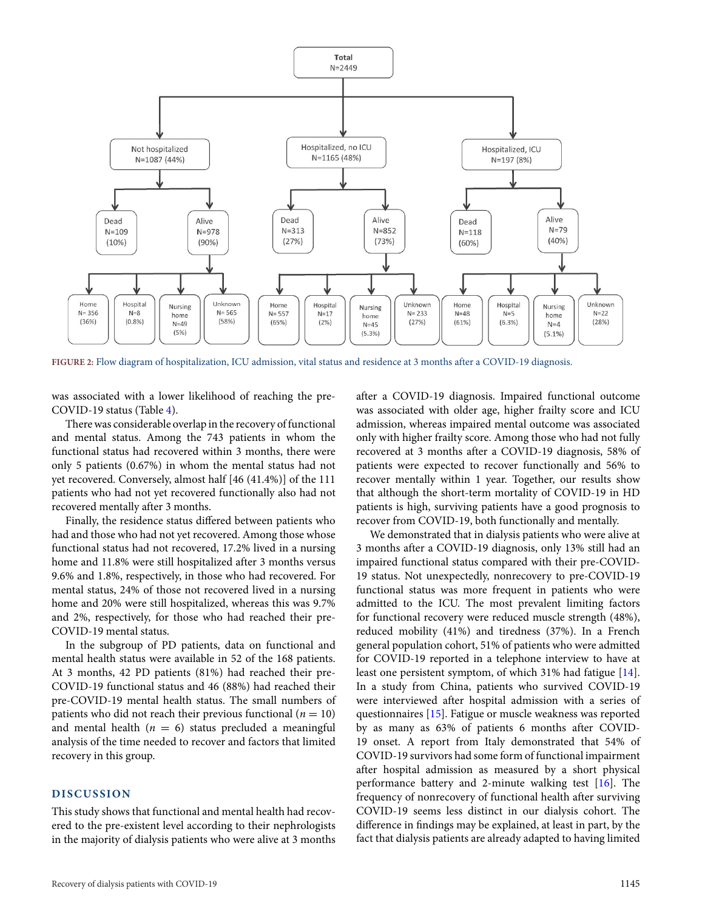<span id="page-5-0"></span>

**FIGURE 2:** Flow diagram of hospitalization, ICU admission, vital status and residence at 3 months after a COVID-19 diagnosis.

was associated with a lower likelihood of reaching the pre-COVID-19 status (Table [4\)](#page-8-0).

There was considerable overlap in the recovery of functional and mental status. Among the 743 patients in whom the functional status had recovered within 3 months, there were only 5 patients (0.67%) in whom the mental status had not yet recovered. Conversely, almost half [46 (41.4%)] of the 111 patients who had not yet recovered functionally also had not recovered mentally after 3 months.

Finally, the residence status differed between patients who had and those who had not yet recovered. Among those whose functional status had not recovered, 17.2% lived in a nursing home and 11.8% were still hospitalized after 3 months versus 9.6% and 1.8%, respectively, in those who had recovered. For mental status, 24% of those not recovered lived in a nursing home and 20% were still hospitalized, whereas this was 9.7% and 2%, respectively, for those who had reached their pre-COVID-19 mental status.

In the subgroup of PD patients, data on functional and mental health status were available in 52 of the 168 patients. At 3 months, 42 PD patients (81%) had reached their pre-COVID-19 functional status and 46 (88%) had reached their pre-COVID-19 mental health status. The small numbers of patients who did not reach their previous functional ( $n = 10$ ) and mental health  $(n = 6)$  status precluded a meaningful analysis of the time needed to recover and factors that limited recovery in this group.

## **DISCUSSION**

This study shows that functional and mental health had recovered to the pre-existent level according to their nephrologists in the majority of dialysis patients who were alive at 3 months after a COVID-19 diagnosis. Impaired functional outcome was associated with older age, higher frailty score and ICU admission, whereas impaired mental outcome was associated only with higher frailty score. Among those who had not fully recovered at 3 months after a COVID-19 diagnosis, 58% of patients were expected to recover functionally and 56% to recover mentally within 1 year. Together, our results show that although the short-term mortality of COVID-19 in HD patients is high, surviving patients have a good prognosis to recover from COVID-19, both functionally and mentally.

We demonstrated that in dialysis patients who were alive at 3 months after a COVID-19 diagnosis, only 13% still had an impaired functional status compared with their pre-COVID-19 status. Not unexpectedly, nonrecovery to pre-COVID-19 functional status was more frequent in patients who were admitted to the ICU. The most prevalent limiting factors for functional recovery were reduced muscle strength (48%), reduced mobility (41%) and tiredness (37%). In a French general population cohort, 51% of patients who were admitted for COVID-19 reported in a telephone interview to have at least one persistent symptom, of which 31% had fatigue [\[14\]](#page-11-12). In a study from China, patients who survived COVID-19 were interviewed after hospital admission with a series of questionnaires [\[15\]](#page-11-13). Fatigue or muscle weakness was reported by as many as 63% of patients 6 months after COVID-19 onset. A report from Italy demonstrated that 54% of COVID-19 survivors had some form of functional impairment after hospital admission as measured by a short physical performance battery and 2-minute walking test [\[16\]](#page-11-14). The frequency of nonrecovery of functional health after surviving COVID-19 seems less distinct in our dialysis cohort. The difference in findings may be explained, at least in part, by the fact that dialysis patients are already adapted to having limited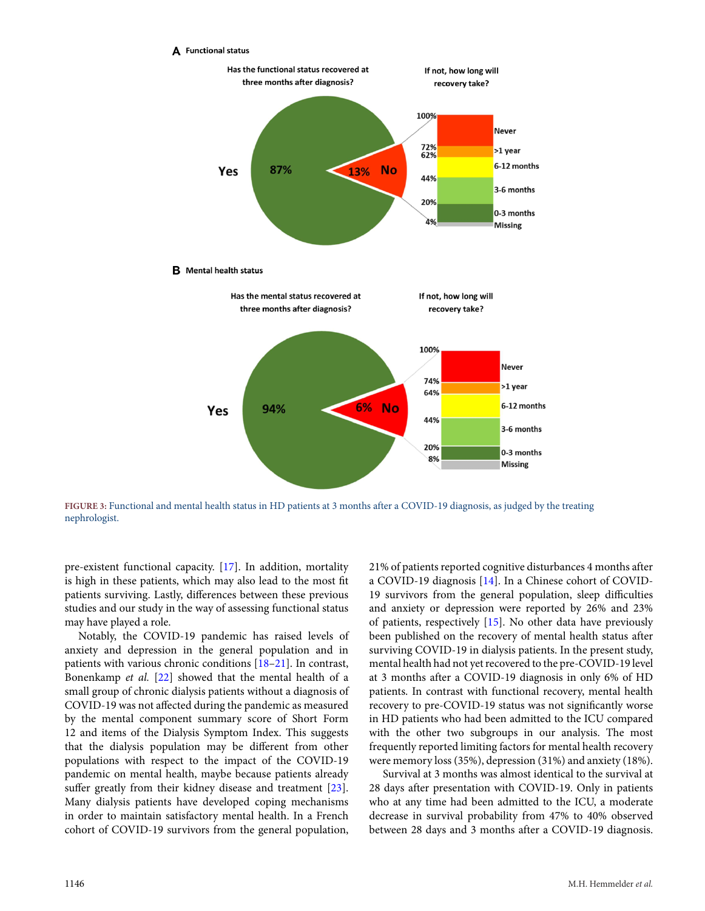<span id="page-6-0"></span>

**FIGURE 3:** Functional and mental health status in HD patients at 3 months after a COVID-19 diagnosis, as judged by the treating nephrologist.

pre-existent functional capacity. [\[17\]](#page-11-15). In addition, mortality is high in these patients, which may also lead to the most fit patients surviving. Lastly, differences between these previous studies and our study in the way of assessing functional status may have played a role.

Notably, the COVID-19 pandemic has raised levels of anxiety and depression in the general population and in patients with various chronic conditions [\[18–](#page-11-16)[21\]](#page-11-17). In contrast, Bonenkamp *et al.* [\[22\]](#page-11-18) showed that the mental health of a small group of chronic dialysis patients without a diagnosis of COVID-19 was not affected during the pandemic as measured by the mental component summary score of Short Form 12 and items of the Dialysis Symptom Index. This suggests that the dialysis population may be different from other populations with respect to the impact of the COVID-19 pandemic on mental health, maybe because patients already suffer greatly from their kidney disease and treatment [\[23\]](#page-11-19). Many dialysis patients have developed coping mechanisms in order to maintain satisfactory mental health. In a French cohort of COVID-19 survivors from the general population, 21% of patients reported cognitive disturbances 4 months after a COVID-19 diagnosis [\[14\]](#page-11-12). In a Chinese cohort of COVID-19 survivors from the general population, sleep difficulties and anxiety or depression were reported by 26% and 23% of patients, respectively [\[15\]](#page-11-13). No other data have previously been published on the recovery of mental health status after surviving COVID-19 in dialysis patients. In the present study, mental health had not yet recovered to the pre-COVID-19 level at 3 months after a COVID-19 diagnosis in only 6% of HD patients. In contrast with functional recovery, mental health recovery to pre-COVID-19 status was not significantly worse in HD patients who had been admitted to the ICU compared with the other two subgroups in our analysis. The most frequently reported limiting factors for mental health recovery were memory loss (35%), depression (31%) and anxiety (18%).

Survival at 3 months was almost identical to the survival at 28 days after presentation with COVID-19. Only in patients who at any time had been admitted to the ICU, a moderate decrease in survival probability from 47% to 40% observed between 28 days and 3 months after a COVID-19 diagnosis.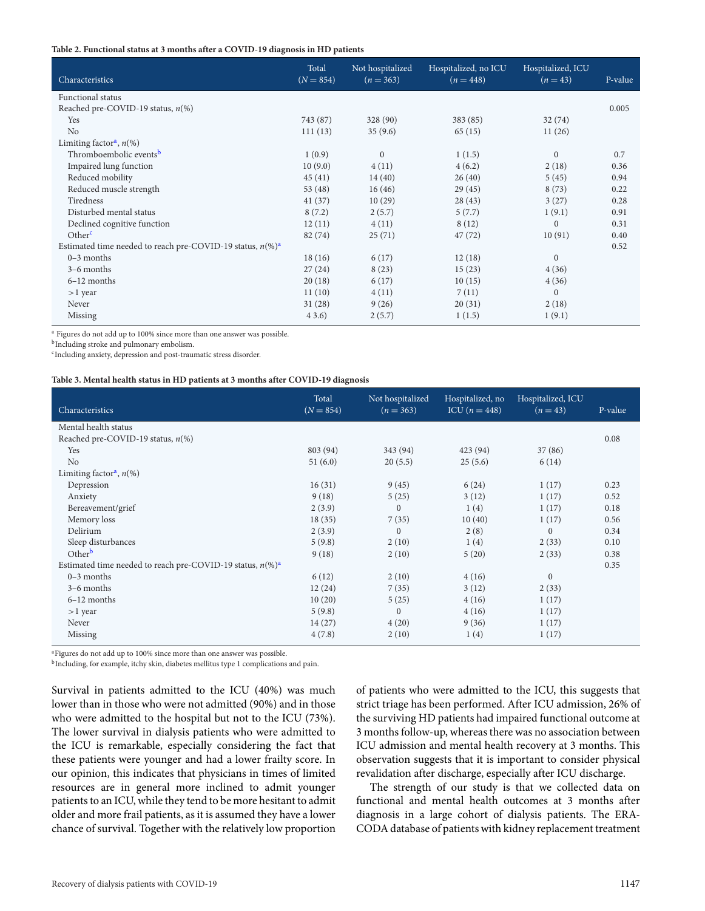#### <span id="page-7-0"></span>**Table 2. Functional status at 3 months after a COVID-19 diagnosis in HD patients**

| Characteristics                                                              | Total<br>$(N = 854)$ | Not hospitalized<br>$(n = 363)$ | Hospitalized, no ICU<br>$(n = 448)$ | Hospitalized, ICU<br>$(n = 43)$ | P-value |
|------------------------------------------------------------------------------|----------------------|---------------------------------|-------------------------------------|---------------------------------|---------|
| Functional status                                                            |                      |                                 |                                     |                                 |         |
| Reached pre-COVID-19 status, $n$ (%)                                         |                      |                                 |                                     |                                 | 0.005   |
| Yes                                                                          | 743 (87)             | 328 (90)                        | 383 (85)                            | 32(74)                          |         |
| No                                                                           | 111(13)              | 35(9.6)                         | 65(15)                              | 11(26)                          |         |
| Limiting factor <sup>a</sup> , $n$ <sup>(%)</sup>                            |                      |                                 |                                     |                                 |         |
| Thromboembolic events <sup>b</sup>                                           | 1(0.9)               | $\Omega$                        | 1(1.5)                              | $\Omega$                        | 0.7     |
| Impaired lung function                                                       | 10(9.0)              | 4(11)                           | 4(6.2)                              | 2(18)                           | 0.36    |
| Reduced mobility                                                             | 45(41)               | 14(40)                          | 26(40)                              | 5(45)                           | 0.94    |
| Reduced muscle strength                                                      | 53(48)               | 16(46)                          | 29(45)                              | 8(73)                           | 0.22    |
| Tiredness                                                                    | 41(37)               | 10(29)                          | 28(43)                              | 3(27)                           | 0.28    |
| Disturbed mental status                                                      | 8(7.2)               | 2(5.7)                          | 5(7.7)                              | 1(9.1)                          | 0.91    |
| Declined cognitive function                                                  | 12(11)               | 4(11)                           | 8(12)                               | $\mathbf{0}$                    | 0.31    |
| Other <sup>c</sup>                                                           | 82(74)               | 25(71)                          | 47(72)                              | 10(91)                          | 0.40    |
| Estimated time needed to reach pre-COVID-19 status, $n\frac{(\%)^a}{(\%)^a}$ |                      |                                 |                                     |                                 | 0.52    |
| $0-3$ months                                                                 | 18(16)               | 6(17)                           | 12(18)                              | $\boldsymbol{0}$                |         |
| $3-6$ months                                                                 | 27(24)               | 8(23)                           | 15(23)                              | 4(36)                           |         |
| $6-12$ months                                                                | 20(18)               | 6(17)                           | 10(15)                              | 4(36)                           |         |
| $>1$ year                                                                    | 11(10)               | 4(11)                           | 7(11)                               | $\mathbf{0}$                    |         |
| Never                                                                        | 31(28)               | 9(26)                           | 20(31)                              | 2(18)                           |         |
| Missing                                                                      | 43.6)                | 2(5.7)                          | 1(1.5)                              | 1(9.1)                          |         |

<span id="page-7-2"></span><sup>a</sup> Figures do not add up to 100% since more than one answer was possible.

<span id="page-7-3"></span>**b**Including stroke and pulmonary embolism.

<span id="page-7-4"></span><sup>c</sup>Including anxiety, depression and post-traumatic stress disorder.

#### <span id="page-7-1"></span>**Table 3. Mental health status in HD patients at 3 months after COVID-19 diagnosis**

| Characteristics                                                              | Total<br>$(N = 854)$ | Not hospitalized<br>$(n = 363)$ | Hospitalized, no<br>ICU $(n = 448)$ | Hospitalized, ICU<br>$(n = 43)$ | P-value |
|------------------------------------------------------------------------------|----------------------|---------------------------------|-------------------------------------|---------------------------------|---------|
| Mental health status                                                         |                      |                                 |                                     |                                 |         |
| Reached pre-COVID-19 status, $n$ (%)                                         |                      |                                 |                                     |                                 | 0.08    |
| Yes                                                                          | 803 (94)             | 343 (94)                        | 423 (94)                            | 37(86)                          |         |
| No                                                                           | 51(6.0)              | 20(5.5)                         | 25(5.6)                             | 6(14)                           |         |
| Limiting factor <sup>a</sup> , $n$ <sup>(%)</sup>                            |                      |                                 |                                     |                                 |         |
| Depression                                                                   | 16(31)               | 9(45)                           | 6(24)                               | 1(17)                           | 0.23    |
| Anxiety                                                                      | 9(18)                | 5(25)                           | 3(12)                               | 1(17)                           | 0.52    |
| Bereavement/grief                                                            | 2(3.9)               | $\Omega$                        | 1(4)                                | 1(17)                           | 0.18    |
| Memory loss                                                                  | 18(35)               | 7(35)                           | 10(40)                              | 1(17)                           | 0.56    |
| Delirium                                                                     | 2(3.9)               | $\Omega$                        | 2(8)                                | $\Omega$                        | 0.34    |
| Sleep disturbances                                                           | 5(9.8)               | 2(10)                           | 1(4)                                | 2(33)                           | 0.10    |
| Other <sup>b</sup>                                                           | 9(18)                | 2(10)                           | 5(20)                               | 2(33)                           | 0.38    |
| Estimated time needed to reach pre-COVID-19 status, $n\frac{(\%)^a}{(\%)^a}$ |                      |                                 |                                     |                                 | 0.35    |
| $0-3$ months                                                                 | 6(12)                | 2(10)                           | 4(16)                               | $\mathbf{0}$                    |         |
| $3-6$ months                                                                 | 12(24)               | 7(35)                           | 3(12)                               | 2(33)                           |         |
| $6-12$ months                                                                | 10(20)               | 5(25)                           | 4(16)                               | 1(17)                           |         |
| $>1$ year                                                                    | 5(9.8)               | $\Omega$                        | 4(16)                               | 1(17)                           |         |
| Never                                                                        | 14(27)               | 4(20)                           | 9(36)                               | 1(17)                           |         |
| Missing                                                                      | 4(7.8)               | 2(10)                           | 1(4)                                | 1(17)                           |         |

<span id="page-7-5"></span><sup>a</sup>Figures do not add up to 100% since more than one answer was possible.

<span id="page-7-6"></span><sup>b</sup>Including, for example, itchy skin, diabetes mellitus type 1 complications and pain.

Survival in patients admitted to the ICU (40%) was much lower than in those who were not admitted (90%) and in those who were admitted to the hospital but not to the ICU (73%). The lower survival in dialysis patients who were admitted to the ICU is remarkable, especially considering the fact that these patients were younger and had a lower frailty score. In our opinion, this indicates that physicians in times of limited resources are in general more inclined to admit younger patients to an ICU, while they tend to be more hesitant to admit older and more frail patients, as it is assumed they have a lower chance of survival. Together with the relatively low proportion

of patients who were admitted to the ICU, this suggests that strict triage has been performed. After ICU admission, 26% of the surviving HD patients had impaired functional outcome at 3 months follow-up, whereas there was no association between ICU admission and mental health recovery at 3 months. This observation suggests that it is important to consider physical revalidation after discharge, especially after ICU discharge.

The strength of our study is that we collected data on functional and mental health outcomes at 3 months after diagnosis in a large cohort of dialysis patients. The ERA-CODA database of patients with kidney replacement treatment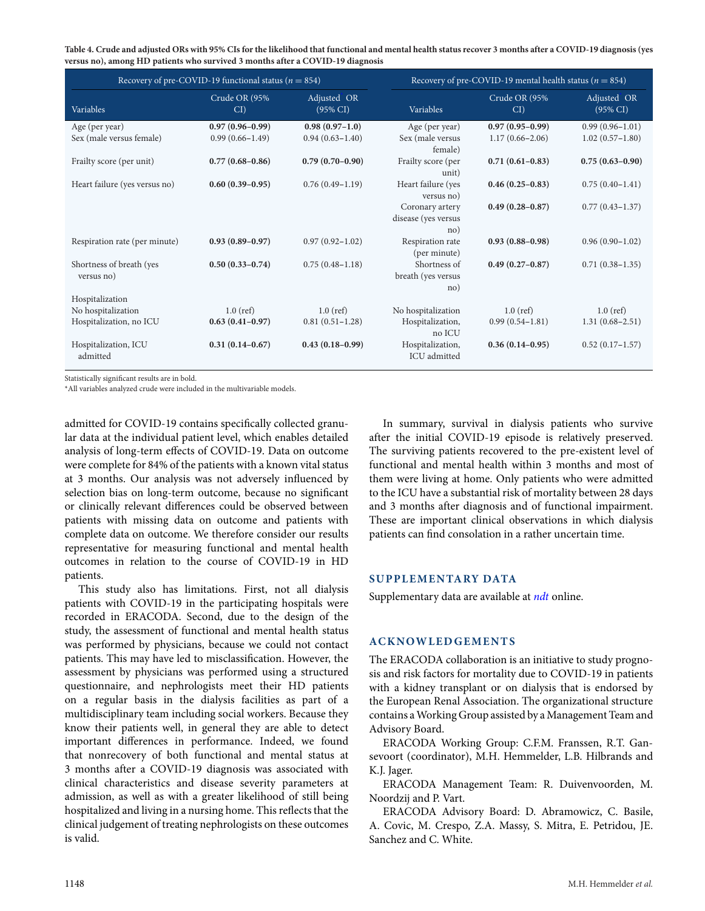<span id="page-8-0"></span>**Table 4. Crude and adjusted ORs with 95% CIs for the likelihood that functional and mental health status recover 3 months after a COVID-19 diagnosis (yes versus no), among HD patients who survived 3 months after a COVID-19 diagnosis**

| Recovery of pre-COVID-19 functional status ( $n = 854$ ) |                         |                                    |                                               | Recovery of pre-COVID-19 mental health status ( $n = 854$ ) |                                    |  |  |
|----------------------------------------------------------|-------------------------|------------------------------------|-----------------------------------------------|-------------------------------------------------------------|------------------------------------|--|--|
| Variables                                                | Crude OR (95%<br>$CI$ ) | Adjusted OR<br>$(95\% \text{ CI})$ | Variables                                     | Crude OR (95%<br>CI                                         | Adjusted OR<br>$(95\% \text{ CI})$ |  |  |
| Age (per year)                                           | $0.97(0.96 - 0.99)$     | $0.98(0.97-1.0)$                   | Age (per year)                                | $0.97(0.95-0.99)$                                           | $0.99(0.96 - 1.01)$                |  |  |
| Sex (male versus female)                                 | $0.99(0.66 - 1.49)$     | $0.94(0.63 - 1.40)$                | Sex (male versus<br>female)                   | $1.17(0.66 - 2.06)$                                         | $1.02(0.57-1.80)$                  |  |  |
| Frailty score (per unit)                                 | $0.77(0.68 - 0.86)$     | $0.79(0.70-0.90)$                  | Frailty score (per<br>unit)                   | $0.71(0.61 - 0.83)$                                         | $0.75(0.63 - 0.90)$                |  |  |
| Heart failure (yes versus no)                            | $0.60(0.39 - 0.95)$     | $0.76(0.49-1.19)$                  | Heart failure (yes<br>versus no)              | $0.46(0.25-0.83)$                                           | $0.75(0.40-1.41)$                  |  |  |
|                                                          |                         |                                    | Coronary artery<br>disease (yes versus<br>no) | $0.49(0.28 - 0.87)$                                         | $0.77(0.43 - 1.37)$                |  |  |
| Respiration rate (per minute)                            | $0.93(0.89 - 0.97)$     | $0.97(0.92 - 1.02)$                | Respiration rate<br>(per minute)              | $0.93(0.88 - 0.98)$                                         | $0.96(0.90-1.02)$                  |  |  |
| Shortness of breath (yes<br>versus no)                   | $0.50(0.33 - 0.74)$     | $0.75(0.48 - 1.18)$                | Shortness of<br>breath (yes versus<br>no)     | $0.49(0.27-0.87)$                                           | $0.71(0.38 - 1.35)$                |  |  |
| Hospitalization                                          |                         |                                    |                                               |                                                             |                                    |  |  |
| No hospitalization                                       | $1.0$ (ref)             | $1.0$ (ref)                        | No hospitalization                            | $1.0$ (ref)                                                 | $1.0$ (ref)                        |  |  |
| Hospitalization, no ICU                                  | $0.63(0.41-0.97)$       | $0.81(0.51 - 1.28)$                | Hospitalization,<br>no ICU                    | $0.99(0.54 - 1.81)$                                         | $1.31(0.68 - 2.51)$                |  |  |
| Hospitalization, ICU<br>admitted                         | $0.31(0.14 - 0.67)$     | $0.43(0.18-0.99)$                  | Hospitalization,<br>ICU admitted              | $0.36(0.14-0.95)$                                           | $0.52(0.17-1.57)$                  |  |  |

<span id="page-8-1"></span>Statistically significant results are in bold.

\*All variables analyzed crude were included in the multivariable models.

admitted for COVID-19 contains specifically collected granular data at the individual patient level, which enables detailed analysis of long-term effects of COVID-19. Data on outcome were complete for 84% of the patients with a known vital status at 3 months. Our analysis was not adversely influenced by selection bias on long-term outcome, because no significant or clinically relevant differences could be observed between patients with missing data on outcome and patients with complete data on outcome. We therefore consider our results representative for measuring functional and mental health outcomes in relation to the course of COVID-19 in HD patients.

This study also has limitations. First, not all dialysis patients with COVID-19 in the participating hospitals were recorded in ERACODA. Second, due to the design of the study, the assessment of functional and mental health status was performed by physicians, because we could not contact patients. This may have led to misclassification. However, the assessment by physicians was performed using a structured questionnaire, and nephrologists meet their HD patients on a regular basis in the dialysis facilities as part of a multidisciplinary team including social workers. Because they know their patients well, in general they are able to detect important differences in performance. Indeed, we found that nonrecovery of both functional and mental status at 3 months after a COVID-19 diagnosis was associated with clinical characteristics and disease severity parameters at admission, as well as with a greater likelihood of still being hospitalized and living in a nursing home. This reflects that the clinical judgement of treating nephrologists on these outcomes is valid.

In summary, survival in dialysis patients who survive after the initial COVID-19 episode is relatively preserved. The surviving patients recovered to the pre-existent level of functional and mental health within 3 months and most of them were living at home. Only patients who were admitted to the ICU have a substantial risk of mortality between 28 days and 3 months after diagnosis and of functional impairment. These are important clinical observations in which dialysis patients can find consolation in a rather uncertain time.

#### **SUPPLEMENTARY DATA**

Supplementary data are available at *[ndt](https://academic.oup.com/ndt/article-lookup/doi/10.1093/ndt/gfac008#supplementary-data)* online.

#### **ACKNOWLEDGEMENTS**

The ERACODA collaboration is an initiative to study prognosis and risk factors for mortality due to COVID-19 in patients with a kidney transplant or on dialysis that is endorsed by the European Renal Association. The organizational structure contains aWorking Group assisted by a Management Team and Advisory Board.

ERACODA Working Group: C.F.M. Franssen, R.T. Gansevoort (coordinator), M.H. Hemmelder, L.B. Hilbrands and K.J. Jager.

ERACODA Management Team: R. Duivenvoorden, M. Noordzij and P. Vart.

ERACODA Advisory Board: D. Abramowicz, C. Basile, A. Covic, M. Crespo, Z.A. Massy, S. Mitra, E. Petridou, JE. Sanchez and C. White.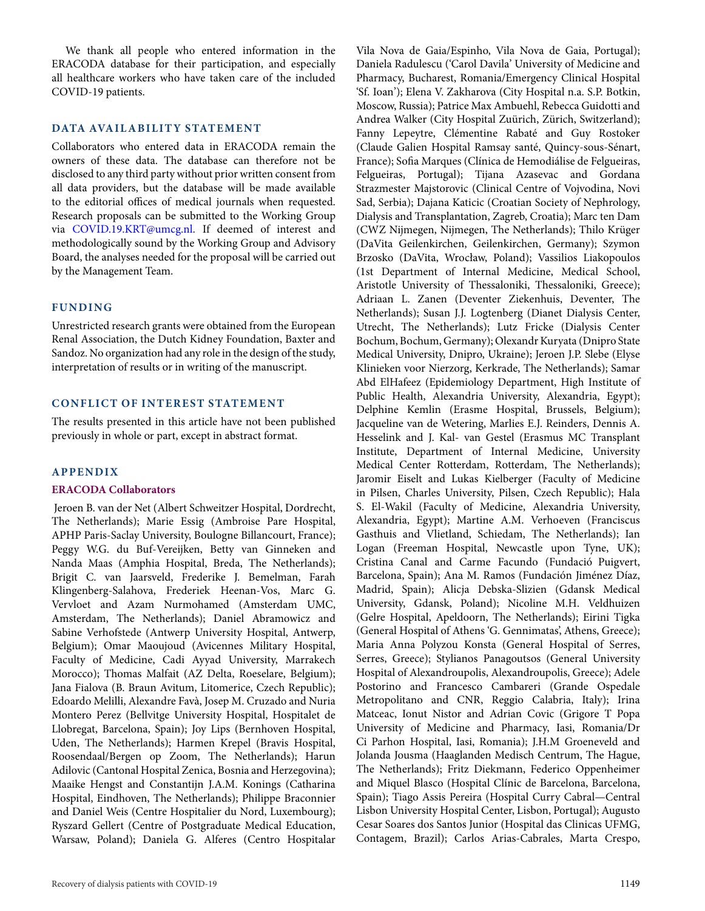We thank all people who entered information in the ERACODA database for their participation, and especially all healthcare workers who have taken care of the included COVID-19 patients.

## **DATA AVAILABILITY STATEMENT**

Collaborators who entered data in ERACODA remain the owners of these data. The database can therefore not be disclosed to any third party without prior written consent from all data providers, but the database will be made available to the editorial offices of medical journals when requested. Research proposals can be submitted to the Working Group via [COVID.19.KRT@umcg.nl.](mailto:COVID.19.KRT@umcg.nl) If deemed of interest and methodologically sound by the Working Group and Advisory Board, the analyses needed for the proposal will be carried out by the Management Team.

## **FUNDING**

Unrestricted research grants were obtained from the European Renal Association, the Dutch Kidney Foundation, Baxter and Sandoz. No organization had any role in the design of the study, interpretation of results or in writing of the manuscript.

## **CONFLICT OF INTEREST STATEMENT**

The results presented in this article have not been published previously in whole or part, except in abstract format.

## **APPENDIX**

#### **ERACODA Collaborators**

Jeroen B. van der Net (Albert Schweitzer Hospital, Dordrecht, The Netherlands); Marie Essig (Ambroise Pare Hospital, APHP Paris-Saclay University, Boulogne Billancourt, France); Peggy W.G. du Buf-Vereijken, Betty van Ginneken and Nanda Maas (Amphia Hospital, Breda, The Netherlands); Brigit C. van Jaarsveld, Frederike J. Bemelman, Farah Klingenberg-Salahova, Frederiek Heenan-Vos, Marc G. Vervloet and Azam Nurmohamed (Amsterdam UMC, Amsterdam, The Netherlands); Daniel Abramowicz and Sabine Verhofstede (Antwerp University Hospital, Antwerp, Belgium); Omar Maoujoud (Avicennes Military Hospital, Faculty of Medicine, Cadi Ayyad University, Marrakech Morocco); Thomas Malfait (AZ Delta, Roeselare, Belgium); Jana Fialova (B. Braun Avitum, Litomerice, Czech Republic); Edoardo Melilli, Alexandre Favà, Josep M. Cruzado and Nuria Montero Perez (Bellvitge University Hospital, Hospitalet de Llobregat, Barcelona, Spain); Joy Lips (Bernhoven Hospital, Uden, The Netherlands); Harmen Krepel (Bravis Hospital, Roosendaal/Bergen op Zoom, The Netherlands); Harun Adilovic (Cantonal Hospital Zenica, Bosnia and Herzegovina); Maaike Hengst and Constantijn J.A.M. Konings (Catharina Hospital, Eindhoven, The Netherlands); Philippe Braconnier and Daniel Weis (Centre Hospitalier du Nord, Luxembourg); Ryszard Gellert (Centre of Postgraduate Medical Education, Warsaw, Poland); Daniela G. Alferes (Centro Hospitalar

Daniela Radulescu ('Carol Davila' University of Medicine and Pharmacy, Bucharest, Romania/Emergency Clinical Hospital 'Sf. Ioan'); Elena V. Zakharova (City Hospital n.a. S.P. Botkin, Moscow, Russia); Patrice Max Ambuehl, Rebecca Guidotti and Andrea Walker (City Hospital Zuürich, Zürich, Switzerland); Fanny Lepeytre, Clémentine Rabaté and Guy Rostoker (Claude Galien Hospital Ramsay santé, Quincy-sous-Sénart, France); Sofia Marques (Clínica de Hemodiálise de Felgueiras, Felgueiras, Portugal); Tijana Azasevac and Gordana Strazmester Majstorovic (Clinical Centre of Vojvodina, Novi Sad, Serbia); Dajana Katicic (Croatian Society of Nephrology, Dialysis and Transplantation, Zagreb, Croatia); Marc ten Dam (CWZ Nijmegen, Nijmegen, The Netherlands); Thilo Krüger (DaVita Geilenkirchen, Geilenkirchen, Germany); Szymon Brzosko (DaVita, Wrocław, Poland); Vassilios Liakopoulos (1st Department of Internal Medicine, Medical School, Aristotle University of Thessaloniki, Thessaloniki, Greece); Adriaan L. Zanen (Deventer Ziekenhuis, Deventer, The Netherlands); Susan J.J. Logtenberg (Dianet Dialysis Center, Utrecht, The Netherlands); Lutz Fricke (Dialysis Center Bochum, Bochum, Germany); Olexandr Kuryata (Dnipro State Medical University, Dnipro, Ukraine); Jeroen J.P. Slebe (Elyse Klinieken voor Nierzorg, Kerkrade, The Netherlands); Samar Abd ElHafeez (Epidemiology Department, High Institute of Public Health, Alexandria University, Alexandria, Egypt); Delphine Kemlin (Erasme Hospital, Brussels, Belgium); Jacqueline van de Wetering, Marlies E.J. Reinders, Dennis A. Hesselink and J. Kal- van Gestel (Erasmus MC Transplant Institute, Department of Internal Medicine, University Medical Center Rotterdam, Rotterdam, The Netherlands); Jaromir Eiselt and Lukas Kielberger (Faculty of Medicine in Pilsen, Charles University, Pilsen, Czech Republic); Hala S. El-Wakil (Faculty of Medicine, Alexandria University, Alexandria, Egypt); Martine A.M. Verhoeven (Franciscus Gasthuis and Vlietland, Schiedam, The Netherlands); Ian Logan (Freeman Hospital, Newcastle upon Tyne, UK); Cristina Canal and Carme Facundo (Fundació Puigvert, Barcelona, Spain); Ana M. Ramos (Fundación Jiménez Díaz, Madrid, Spain); Alicja Debska-Slizien (Gdansk Medical University, Gdansk, Poland); Nicoline M.H. Veldhuizen (Gelre Hospital, Apeldoorn, The Netherlands); Eirini Tigka (General Hospital of Athens 'G. Gennimatas', Athens, Greece); Maria Anna Polyzou Konsta (General Hospital of Serres, Serres, Greece); Stylianos Panagoutsos (General University Hospital of Alexandroupolis, Alexandroupolis, Greece); Adele Postorino and Francesco Cambareri (Grande Ospedale Metropolitano and CNR, Reggio Calabria, Italy); Irina Matceac, Ionut Nistor and Adrian Covic (Grigore T Popa University of Medicine and Pharmacy, Iasi, Romania/Dr Ci Parhon Hospital, Iasi, Romania); J.H.M Groeneveld and Jolanda Jousma (Haaglanden Medisch Centrum, The Hague, The Netherlands); Fritz Diekmann, Federico Oppenheimer and Miquel Blasco (Hospital Clínic de Barcelona, Barcelona, Spain); Tiago Assis Pereira (Hospital Curry Cabral—Central Lisbon University Hospital Center, Lisbon, Portugal); Augusto Cesar Soares dos Santos Junior (Hospital das Clinicas UFMG, Contagem, Brazil); Carlos Arias-Cabrales, Marta Crespo,

Vila Nova de Gaia/Espinho, Vila Nova de Gaia, Portugal);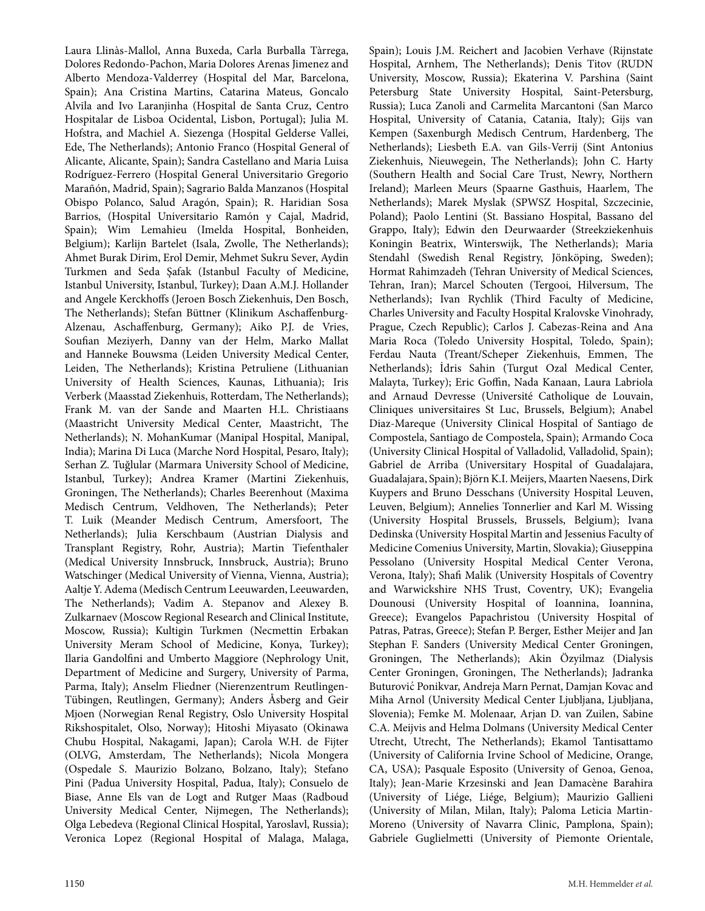Laura Llinàs-Mallol, Anna Buxeda, Carla Burballa Tàrrega, Dolores Redondo-Pachon, Maria Dolores Arenas Jimenez and Alberto Mendoza-Valderrey (Hospital del Mar, Barcelona, Spain); Ana Cristina Martins, Catarina Mateus, Goncalo Alvila and Ivo Laranjinha (Hospital de Santa Cruz, Centro Hospitalar de Lisboa Ocidental, Lisbon, Portugal); Julia M. Hofstra, and Machiel A. Siezenga (Hospital Gelderse Vallei, Ede, The Netherlands); Antonio Franco (Hospital General of Alicante, Alicante, Spain); Sandra Castellano and Maria Luisa Rodríguez-Ferrero (Hospital General Universitario Gregorio Marañón, Madrid, Spain); Sagrario Balda Manzanos (Hospital Obispo Polanco, Salud Aragón, Spain); R. Haridian Sosa Barrios, (Hospital Universitario Ramón y Cajal, Madrid, Spain); Wim Lemahieu (Imelda Hospital, Bonheiden, Belgium); Karlijn Bartelet (Isala, Zwolle, The Netherlands); Ahmet Burak Dirim, Erol Demir, Mehmet Sukru Sever, Aydin Turkmen and Seda Şafak (Istanbul Faculty of Medicine, Istanbul University, Istanbul, Turkey); Daan A.M.J. Hollander and Angele Kerckhoffs (Jeroen Bosch Ziekenhuis, Den Bosch, The Netherlands); Stefan Büttner (Klinikum Aschaffenburg-Alzenau, Aschaffenburg, Germany); Aiko P.J. de Vries, Soufian Meziyerh, Danny van der Helm, Marko Mallat and Hanneke Bouwsma (Leiden University Medical Center, Leiden, The Netherlands); Kristina Petruliene (Lithuanian University of Health Sciences, Kaunas, Lithuania); Iris Verberk (Maasstad Ziekenhuis, Rotterdam, The Netherlands); Frank M. van der Sande and Maarten H.L. Christiaans (Maastricht University Medical Center, Maastricht, The Netherlands); N. MohanKumar (Manipal Hospital, Manipal, India); Marina Di Luca (Marche Nord Hospital, Pesaro, Italy); Serhan Z. Tuğlular (Marmara University School of Medicine, Istanbul, Turkey); Andrea Kramer (Martini Ziekenhuis, Groningen, The Netherlands); Charles Beerenhout (Maxima Medisch Centrum, Veldhoven, The Netherlands); Peter T. Luik (Meander Medisch Centrum, Amersfoort, The Netherlands); Julia Kerschbaum (Austrian Dialysis and Transplant Registry, Rohr, Austria); Martin Tiefenthaler (Medical University Innsbruck, Innsbruck, Austria); Bruno Watschinger (Medical University of Vienna, Vienna, Austria); Aaltje Y. Adema (Medisch Centrum Leeuwarden, Leeuwarden, The Netherlands); Vadim A. Stepanov and Alexey B. Zulkarnaev (Moscow Regional Research and Clinical Institute, Moscow, Russia); Kultigin Turkmen (Necmettin Erbakan University Meram School of Medicine, Konya, Turkey); Ilaria Gandolfini and Umberto Maggiore (Nephrology Unit, Department of Medicine and Surgery, University of Parma, Parma, Italy); Anselm Fliedner (Nierenzentrum Reutlingen-Tübingen, Reutlingen, Germany); Anders Åsberg and Geir Mjoen (Norwegian Renal Registry, Oslo University Hospital Rikshospitalet, Olso, Norway); Hitoshi Miyasato (Okinawa Chubu Hospital, Nakagami, Japan); Carola W.H. de Fijter (OLVG, Amsterdam, The Netherlands); Nicola Mongera (Ospedale S. Maurizio Bolzano, Bolzano, Italy); Stefano Pini (Padua University Hospital, Padua, Italy); Consuelo de Biase, Anne Els van de Logt and Rutger Maas (Radboud University Medical Center, Nijmegen, The Netherlands); Olga Lebedeva (Regional Clinical Hospital, Yaroslavl, Russia); Veronica Lopez (Regional Hospital of Malaga, Malaga, Spain); Louis J.M. Reichert and Jacobien Verhave (Rijnstate Hospital, Arnhem, The Netherlands); Denis Titov (RUDN University, Moscow, Russia); Ekaterina V. Parshina (Saint Petersburg State University Hospital, Saint-Petersburg, Russia); Luca Zanoli and Carmelita Marcantoni (San Marco Hospital, University of Catania, Catania, Italy); Gijs van Kempen (Saxenburgh Medisch Centrum, Hardenberg, The Netherlands); Liesbeth E.A. van Gils-Verrij (Sint Antonius Ziekenhuis, Nieuwegein, The Netherlands); John C. Harty (Southern Health and Social Care Trust, Newry, Northern Ireland); Marleen Meurs (Spaarne Gasthuis, Haarlem, The Netherlands); Marek Myslak (SPWSZ Hospital, Szczecinie, Poland); Paolo Lentini (St. Bassiano Hospital, Bassano del Grappo, Italy); Edwin den Deurwaarder (Streekziekenhuis Koningin Beatrix, Winterswijk, The Netherlands); Maria Stendahl (Swedish Renal Registry, Jönköping, Sweden); Hormat Rahimzadeh (Tehran University of Medical Sciences, Tehran, Iran); Marcel Schouten (Tergooi, Hilversum, The Netherlands); Ivan Rychlik (Third Faculty of Medicine, Charles University and Faculty Hospital Kralovske Vinohrady, Prague, Czech Republic); Carlos J. Cabezas-Reina and Ana Maria Roca (Toledo University Hospital, Toledo, Spain); Ferdau Nauta (Treant/Scheper Ziekenhuis, Emmen, The Netherlands); ˙Idris Sahin (Turgut Ozal Medical Center, Malayta, Turkey); Eric Goffin, Nada Kanaan, Laura Labriola and Arnaud Devresse (Université Catholique de Louvain, Cliniques universitaires St Luc, Brussels, Belgium); Anabel Diaz-Mareque (University Clinical Hospital of Santiago de Compostela, Santiago de Compostela, Spain); Armando Coca (University Clinical Hospital of Valladolid, Valladolid, Spain); Gabriel de Arriba (Universitary Hospital of Guadalajara, Guadalajara, Spain); Björn K.I. Meijers, Maarten Naesens, Dirk Kuypers and Bruno Desschans (University Hospital Leuven, Leuven, Belgium); Annelies Tonnerlier and Karl M. Wissing (University Hospital Brussels, Brussels, Belgium); Ivana Dedinska (University Hospital Martin and Jessenius Faculty of Medicine Comenius University, Martin, Slovakia); Giuseppina Pessolano (University Hospital Medical Center Verona, Verona, Italy); Shafi Malik (University Hospitals of Coventry and Warwickshire NHS Trust, Coventry, UK); Evangelia Dounousi (University Hospital of Ioannina, Ioannina, Greece); Evangelos Papachristou (University Hospital of Patras, Patras, Greece); Stefan P. Berger, Esther Meijer and Jan Stephan F. Sanders (University Medical Center Groningen, Groningen, The Netherlands); Akin Özyilmaz (Dialysis Center Groningen, Groningen, The Netherlands); Jadranka Buturovic Ponikvar, Andreja Marn Pernat, Damjan Kovac and ´ Miha Arnol (University Medical Center Ljubljana, Ljubljana, Slovenia); Femke M. Molenaar, Arjan D. van Zuilen, Sabine C.A. Meijvis and Helma Dolmans (University Medical Center Utrecht, Utrecht, The Netherlands); Ekamol Tantisattamo (University of California Irvine School of Medicine, Orange, CA, USA); Pasquale Esposito (University of Genoa, Genoa, Italy); Jean-Marie Krzesinski and Jean Damacène Barahira (University of Liége, Liége, Belgium); Maurizio Gallieni (University of Milan, Milan, Italy); Paloma Leticia Martin-Moreno (University of Navarra Clinic, Pamplona, Spain); Gabriele Guglielmetti (University of Piemonte Orientale,